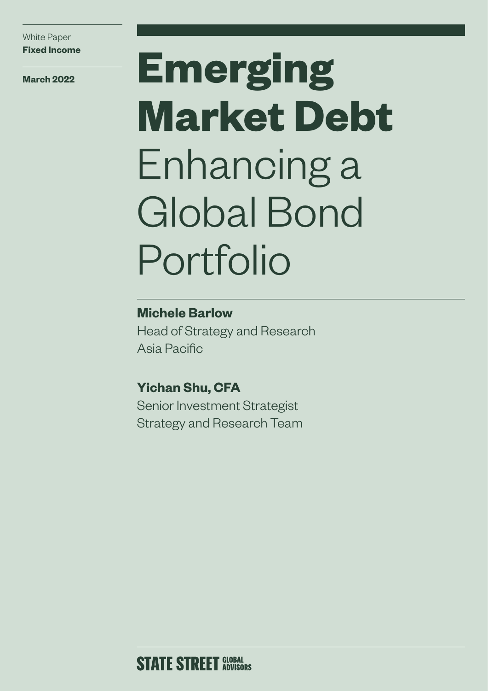**March 2022**

# **Emerging Market Debt** Enhancing a Global Bond Portfolio

# **Michele Barlow**

Head of Strategy and Research Asia Pacific

# **Yichan Shu, CFA**

Senior Investment Strategist Strategy and Research Team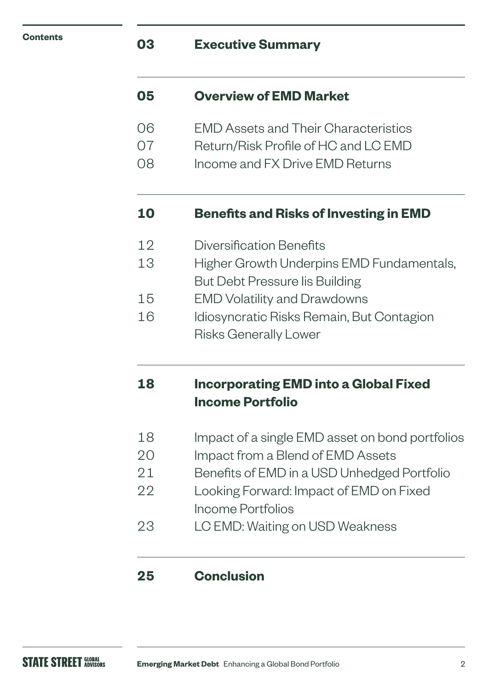| Contents |  |
|----------|--|
|----------|--|

# **03 Executive Summary**

# **05 Overview of EMD Market**

- 06 EMD Assets and Their Characteristics
- 07 Return/Risk Profile of HC and LC EMD
- 08 Income and FX Drive EMD Returns

# **10 Benefits and Risks of Investing in EMD**

- 12 Diversification Benefits
- 13 Higher Growth Underpins EMD Fundamentals,
- But Debt Pressure Iis Building
- 15 EMD Volatility and Drawdowns
- 16 Idiosyncratic Risks Remain, But Contagion Risks Generally Lower

# **18 Incorporating EMD into a Global Fixed Income Portfolio**

- 18 Impact of a single EMD asset on bond portfolios
- 20 Impact from a Blend of EMD Assets
- 21 Benefits of EMD in a USD Unhedged Portfolio
- 22 Looking Forward: Impact of EMD on Fixed Income Portfolios
- 23 LC EMD: Waiting on USD Weakness

# **25 Conclusion**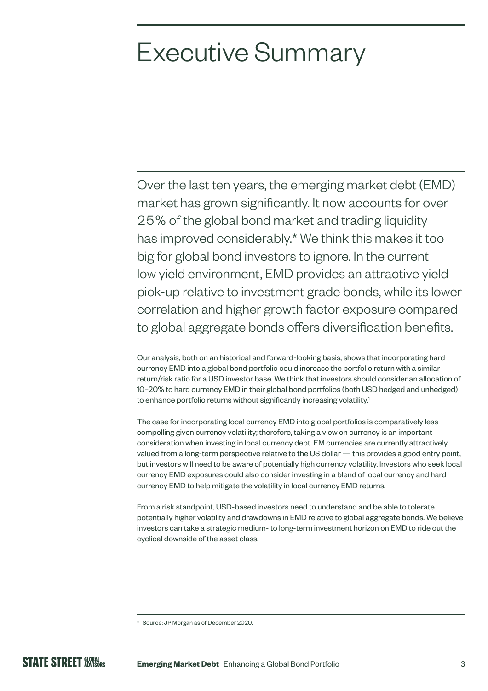# Executive Summary

Over the last ten years, the emerging market debt (EMD) market has grown significantly. It now accounts for over 25% of the global bond market and trading liquidity has improved considerably.\* We think this makes it too big for global bond investors to ignore. In the current low yield environment, EMD provides an attractive yield pick-up relative to investment grade bonds, while its lower correlation and higher growth factor exposure compared to global aggregate bonds offers diversification benefits.

Our analysis, both on an historical and forward-looking basis, shows that incorporating hard currency EMD into a global bond portfolio could increase the portfolio return with a similar return/risk ratio for a USD investor base. We think that investors should consider an allocation of 10–20% to hard currency EMD in their global bond portfolios (both USD hedged and unhedged) to enhance portfolio returns without significantly increasing volatility.<sup>1</sup>

The case for incorporating local currency EMD into global portfolios is comparatively less compelling given currency volatility; therefore, taking a view on currency is an important consideration when investing in local currency debt. EM currencies are currently attractively valued from a long-term perspective relative to the US dollar — this provides a good entry point, but investors will need to be aware of potentially high currency volatility. Investors who seek local currency EMD exposures could also consider investing in a blend of local currency and hard currency EMD to help mitigate the volatility in local currency EMD returns.

From a risk standpoint, USD-based investors need to understand and be able to tolerate potentially higher volatility and drawdowns in EMD relative to global aggregate bonds. We believe investors can take a strategic medium- to long-term investment horizon on EMD to ride out the cyclical downside of the asset class.

<sup>\*</sup> Source: JP Morgan as of December 2020.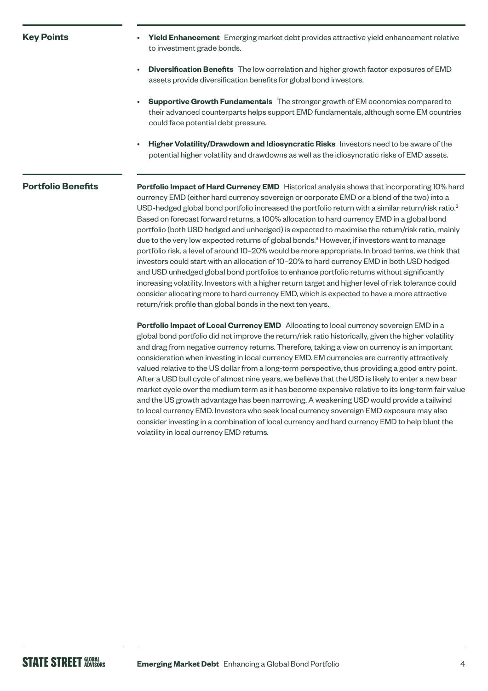#### **Key Points**

- **Yield Enhancement** Emerging market debt provides attractive yield enhancement relative to investment grade bonds.
- **Diversification Benefits** The low correlation and higher growth factor exposures of EMD assets provide diversification benefits for global bond investors.
- **Supportive Growth Fundamentals** The stronger growth of EM economies compared to their advanced counterparts helps support EMD fundamentals, although some EM countries could face potential debt pressure.
- **Higher Volatility/Drawdown and Idiosyncratic Risks** Investors need to be aware of the potential higher volatility and drawdowns as well as the idiosyncratic risks of EMD assets.

#### **Portfolio Benefits**

**Portfolio Impact of Hard Currency EMD** Historical analysis shows that incorporating 10% hard currency EMD (either hard currency sovereign or corporate EMD or a blend of the two) into a USD-hedged global bond portfolio increased the portfolio return with a similar return/risk ratio.<sup>2</sup> Based on forecast forward returns, a 100% allocation to hard currency EMD in a global bond portfolio (both USD hedged and unhedged) is expected to maximise the return/risk ratio, mainly due to the very low expected returns of global bonds.<sup>3</sup> However, if investors want to manage portfolio risk, a level of around 10–20% would be more appropriate. In broad terms, we think that investors could start with an allocation of 10–20% to hard currency EMD in both USD hedged and USD unhedged global bond portfolios to enhance portfolio returns without significantly increasing volatility. Investors with a higher return target and higher level of risk tolerance could consider allocating more to hard currency EMD, which is expected to have a more attractive return/risk profile than global bonds in the next ten years.

**Portfolio Impact of Local Currency EMD** Allocating to local currency sovereign EMD in a global bond portfolio did not improve the return/risk ratio historically, given the higher volatility and drag from negative currency returns. Therefore, taking a view on currency is an important consideration when investing in local currency EMD. EM currencies are currently attractively valued relative to the US dollar from a long-term perspective, thus providing a good entry point. After a USD bull cycle of almost nine years, we believe that the USD is likely to enter a new bear market cycle over the medium term as it has become expensive relative to its long-term fair value and the US growth advantage has been narrowing. A weakening USD would provide a tailwind to local currency EMD. Investors who seek local currency sovereign EMD exposure may also consider investing in a combination of local currency and hard currency EMD to help blunt the volatility in local currency EMD returns.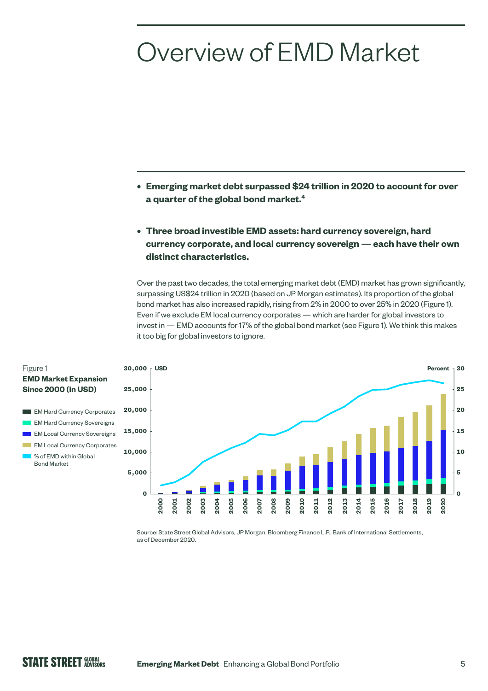# Overview of EMD Market

- **• Emerging market debt surpassed \$24 trillion in 2020 to account for over a quarter of the global bond market.4**
- **• Three broad investible EMD assets: hard currency sovereign, hard currency corporate, and local currency sovereign — each have their own distinct characteristics.**

Over the past two decades, the total emerging market debt (EMD) market has grown significantly, surpassing US\$24 trillion in 2020 (based on JP Morgan estimates). Its proportion of the global bond market has also increased rapidly, rising from 2% in 2000 to over 25% in 2020 (Figure 1). Even if we exclude EM local currency corporates — which are harder for global investors to invest in — EMD accounts for 17% of the global bond market (see Figure 1). We think this makes it too big for global investors to ignore.



Source: State Street Global Advisors, JP Morgan, Bloomberg Finance L.P., Bank of International Settlements, as of December 2020.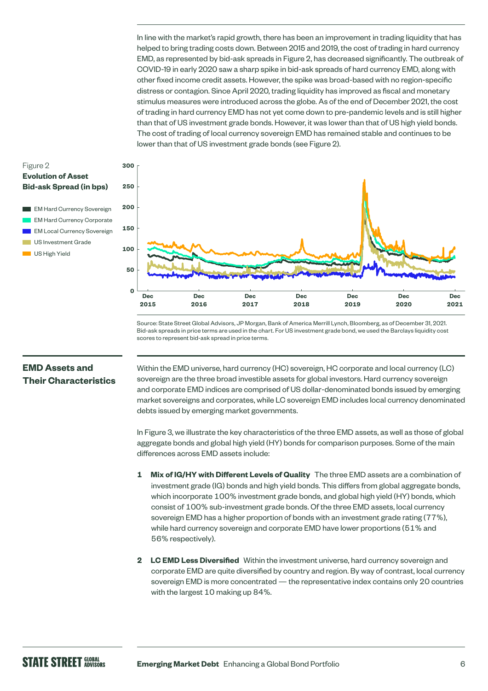In line with the market's rapid growth, there has been an improvement in trading liquidity that has helped to bring trading costs down. Between 2015 and 2019, the cost of trading in hard currency EMD, as represented by bid-ask spreads in Figure 2, has decreased significantly. The outbreak of COVID-19 in early 2020 saw a sharp spike in bid-ask spreads of hard currency EMD, along with other fixed income credit assets. However, the spike was broad-based with no region-specific distress or contagion. Since April 2020, trading liquidity has improved as fiscal and monetary stimulus measures were introduced across the globe. As of the end of December 2021, the cost of trading in hard currency EMD has not yet come down to pre-pandemic levels and is still higher than that of US investment grade bonds. However, it was lower than that of US high yield bonds. The cost of trading of local currency sovereign EMD has remained stable and continues to be lower than that of US investment grade bonds (see Figure 2).

#### Figure 2 **Evolution of Asset Bid-ask Spread (in bps)**

**EM Hard Currency Sovereign**  EM Hard Currency Corporate EM Local Currency Sovereign **US** Investment Grade US High Yield



Source: State Street Global Advisors, JP Morgan, Bank of America Merrill Lynch, Bloomberg, as of December 31, 2021. Bid-ask spreads in price terms are used in the chart. For US investment grade bond, we used the Barclays liquidity cost scores to represent bid-ask spread in price terms.

### **EMD Assets and Their Characteristics**

Within the EMD universe, hard currency (HC) sovereign, HC corporate and local currency (LC) sovereign are the three broad investible assets for global investors. Hard currency sovereign and corporate EMD indices are comprised of US dollar-denominated bonds issued by emerging market sovereigns and corporates, while LC sovereign EMD includes local currency denominated debts issued by emerging market governments.

In Figure 3, we illustrate the key characteristics of the three EMD assets, as well as those of global aggregate bonds and global high yield (HY) bonds for comparison purposes. Some of the main differences across EMD assets include:

- **1 Mix of IG/HY with Different Levels of Quality** The three EMD assets are a combination of investment grade (IG) bonds and high yield bonds. This differs from global aggregate bonds, which incorporate 100% investment grade bonds, and global high yield (HY) bonds, which consist of 100% sub-investment grade bonds. Of the three EMD assets, local currency sovereign EMD has a higher proportion of bonds with an investment grade rating (77%), while hard currency sovereign and corporate EMD have lower proportions (51% and 56% respectively).
- **2 LC EMD Less Diversified** Within the investment universe, hard currency sovereign and corporate EMD are quite diversified by country and region. By way of contrast, local currency sovereign EMD is more concentrated — the representative index contains only 20 countries with the largest 10 making up 84%.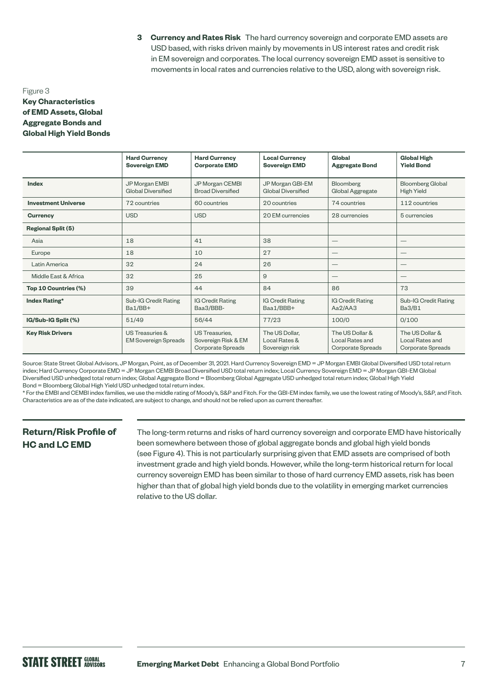**3 Currency and Rates Risk** The hard currency sovereign and corporate EMD assets are USD based, with risks driven mainly by movements in US interest rates and credit risk in EM sovereign and corporates. The local currency sovereign EMD asset is sensitive to movements in local rates and currencies relative to the USD, along with sovereign risk.

#### Figure 3 **Key Characteristics of EMD Assets, Global Aggregate Bonds and Global High Yield Bonds**

|                            | <b>Hard Currency</b><br><b>Sovereign EMD</b>   | <b>Hard Currency</b><br><b>Corporate EMD</b>                      | <b>Local Currency</b><br><b>Sovereign EMD</b>     | Global<br><b>Aggregate Bond</b>                         | <b>Global High</b><br><b>Yield Bond</b>                        |
|----------------------------|------------------------------------------------|-------------------------------------------------------------------|---------------------------------------------------|---------------------------------------------------------|----------------------------------------------------------------|
|                            |                                                |                                                                   |                                                   |                                                         |                                                                |
| Index                      | JP Morgan EMBI<br><b>Global Diversified</b>    | JP Morgan CEMBI<br><b>Broad Diversified</b>                       | JP Morgan GBI-EM<br>Global Diversified            | <b>Bloomberg</b><br>Global Aggregate                    | <b>Bloomberg Global</b><br><b>High Yield</b>                   |
| <b>Investment Universe</b> | 72 countries                                   | 60 countries                                                      | 20 countries                                      | 74 countries                                            | 112 countries                                                  |
| <b>Currency</b>            | <b>USD</b>                                     | <b>USD</b>                                                        | 20 EM currencies                                  | 28 currencies                                           | 5 currencies                                                   |
| <b>Regional Split (5)</b>  |                                                |                                                                   |                                                   |                                                         |                                                                |
| Asia                       | 18                                             | 41                                                                | 38                                                |                                                         |                                                                |
| Europe                     | 18                                             | 10                                                                | 27                                                |                                                         | $\hspace{0.1mm}-\hspace{0.1mm}$                                |
| Latin America              | 32                                             | 24                                                                | 26                                                | $\overbrace{\phantom{12333}}$                           | $\hspace{0.1mm}-\hspace{0.1mm}$                                |
| Middle East & Africa       | 32                                             | 25                                                                | 9                                                 |                                                         |                                                                |
| Top 10 Countries (%)       | 39                                             | 44                                                                | 84                                                | 86                                                      | 73                                                             |
| Index Rating*              | Sub-IG Credit Rating<br>Ba1/BB+                | <b>IG Credit Rating</b><br>Baa3/BBB-                              | <b>IG Credit Rating</b><br>Baa1/BBB+              | <b>IG Credit Rating</b><br>Aa2/AA3                      | Sub-IG Credit Rating<br>Ba3/B1                                 |
| IG/Sub-IG Split (%)        | 51/49                                          | 56/44                                                             | 77/23                                             | 100/0                                                   | 0/100                                                          |
| <b>Key Risk Drivers</b>    | US Treasuries &<br><b>EM Sovereign Spreads</b> | <b>US Treasuries.</b><br>Sovereign Risk & EM<br>Corporate Spreads | The US Dollar,<br>Local Rates &<br>Sovereign risk | The US Dollar &<br>Local Rates and<br>Corporate Spreads | The US Dollar &<br>Local Rates and<br><b>Corporate Spreads</b> |

Source: State Street Global Advisors, JP Morgan, Point, as of December 31, 2021. Hard Currency Sovereign EMD = JP Morgan EMBI Global Diversified USD total return index; Hard Currency Corporate EMD = JP Morgan CEMBI Broad Diversified USD total return index; Local Currency Sovereign EMD = JP Morgan GBI-EM Global Diversified USD unhedged total return index; Global Aggregate Bond = Bloomberg Global Aggregate USD unhedged total return index; Global High Yield Bond = Bloomberg Global High Yield USD unhedged total return index.

\* For the EMBI and CEMBI index families, we use the middle rating of Moody's, S&P and Fitch. For the GBI-EM index family, we use the lowest rating of Moody's, S&P, and Fitch. Characteristics are as of the date indicated, are subject to change, and should not be relied upon as current thereafter.

# **Return/Risk Profile of HC and LC EMD**

The long-term returns and risks of hard currency sovereign and corporate EMD have historically been somewhere between those of global aggregate bonds and global high yield bonds (see Figure 4). This is not particularly surprising given that EMD assets are comprised of both investment grade and high yield bonds. However, while the long-term historical return for local currency sovereign EMD has been similar to those of hard currency EMD assets, risk has been higher than that of global high yield bonds due to the volatility in emerging market currencies relative to the US dollar.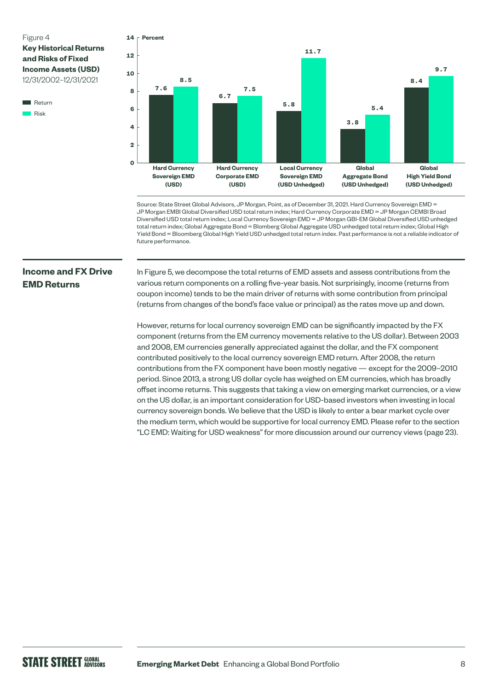**Key Historical Returns and Risks of Fixed Income Assets (USD)**  12/31/2002–12/31/2021

**Return** Risk



Source: State Street Global Advisors, JP Morgan, Point, as of December 31, 2021. Hard Currency Sovereign EMD = JP Morgan EMBI Global Diversified USD total return index; Hard Currency Corporate EMD = JP Morgan CEMBI Broad Diversified USD total return index; Local Currency Sovereign EMD = JP Morgan GBI-EM Global Diversified USD unhedged total return index; Global Aggregate Bond = Blomberg Global Aggregate USD unhedged total return index; Global High Yield Bond = Bloomberg Global High Yield USD unhedged total return index. Past performance is not a reliable indicator of future performance.

# **Income and FX Drive EMD Returns**

In Figure 5, we decompose the total returns of EMD assets and assess contributions from the various return components on a rolling five-year basis. Not surprisingly, income (returns from coupon income) tends to be the main driver of returns with some contribution from principal (returns from changes of the bond's face value or principal) as the rates move up and down.

However, returns for local currency sovereign EMD can be significantly impacted by the FX component (returns from the EM currency movements relative to the US dollar). Between 2003 and 2008, EM currencies generally appreciated against the dollar, and the FX component contributed positively to the local currency sovereign EMD return. After 2008, the return contributions from the FX component have been mostly negative — except for the 2009–2010 period. Since 2013, a strong US dollar cycle has weighed on EM currencies, which has broadly offset income returns. This suggests that taking a view on emerging market currencies, or a view on the US dollar, is an important consideration for USD-based investors when investing in local currency sovereign bonds. We believe that the USD is likely to enter a bear market cycle over the medium term, which would be supportive for local currency EMD. Please refer to the section "LC EMD: Waiting for USD weakness" for more discussion around our currency views (page 23).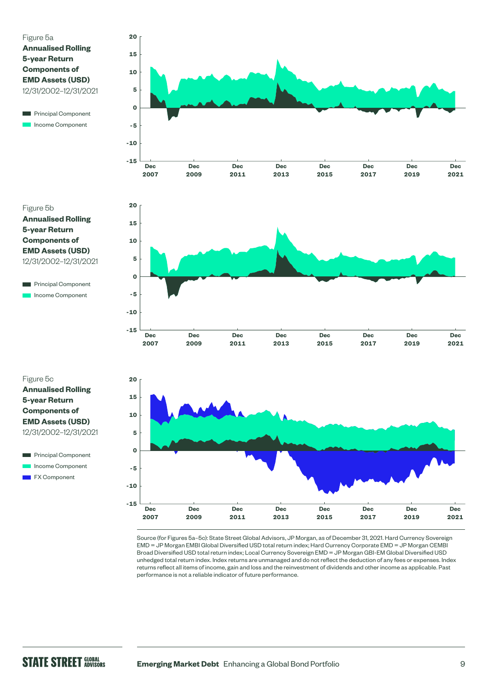### Figure 5a **Annualised Rolling 5-year Return Components of EMD Assets (USD)**  12/31/2002–12/31/2021



Figure 5b **Annualised Rolling 5-year Return Components of EMD Assets (USD)** 12/31/2002–12/31/2021

Г **Principal Component** Income Component

Figure 5c **Annualised Rolling 5-year Return Components of EMD Assets (USD)** 12/31/2002–12/31/2021









Source (for Figures 5a–5c): State Street Global Advisors, JP Morgan, as of December 31, 2021. Hard Currency Sovereign EMD = JP Morgan EMBI Global Diversified USD total return index; Hard Currency Corporate EMD = JP Morgan CEMBI Broad Diversified USD total return index; Local Currency Sovereign EMD = JP Morgan GBI-EM Global Diversified USD unhedged total return index. Index returns are unmanaged and do not reflect the deduction of any fees or expenses. Index returns reflect all items of income, gain and loss and the reinvestment of dividends and other income as applicable. Past performance is not a reliable indicator of future performance.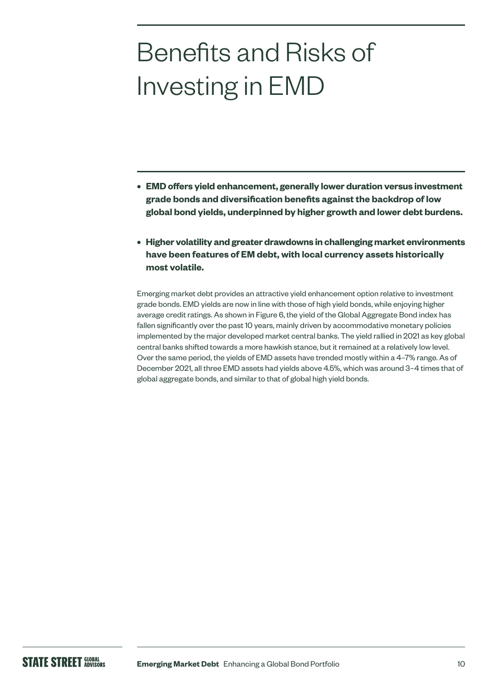# Benefits and Risks of Investing in EMD

- **• EMD offers yield enhancement, generally lower duration versus investment grade bonds and diversification benefits against the backdrop of low global bond yields, underpinned by higher growth and lower debt burdens.**
- **• Higher volatility and greater drawdowns in challenging market environments have been features of EM debt, with local currency assets historically most volatile.**

Emerging market debt provides an attractive yield enhancement option relative to investment grade bonds. EMD yields are now in line with those of high yield bonds, while enjoying higher average credit ratings. As shown in Figure 6, the yield of the Global Aggregate Bond index has fallen significantly over the past 10 years, mainly driven by accommodative monetary policies implemented by the major developed market central banks. The yield rallied in 2021 as key global central banks shifted towards a more hawkish stance, but it remained at a relatively low level. Over the same period, the yields of EMD assets have trended mostly within a 4–7% range. As of December 2021, all three EMD assets had yields above 4.5%, which was around 3–4 times that of global aggregate bonds, and similar to that of global high yield bonds.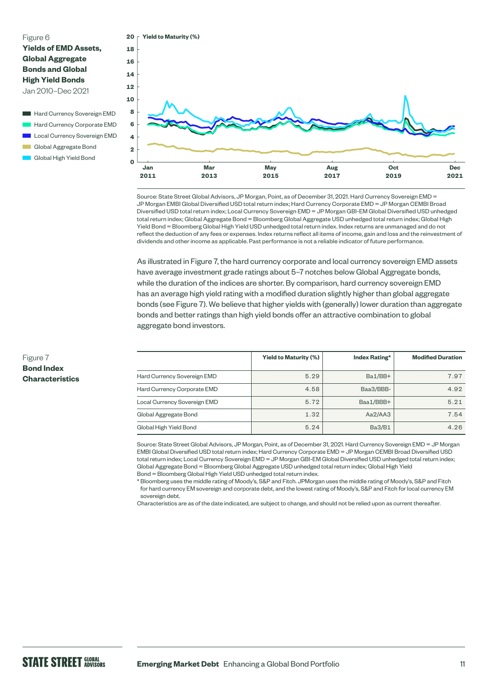#### Figure 6 **Yields of EMD Assets, Global Aggregate Bonds and Global High Yield Bonds**  Jan 2010–Dec 2021

- Hard Currency Sovereign EMD Hard Currency Corporate EMD Local Currency Sovereign EMD
- Global Aggregate Bond
- Global High Yield Bond



Source: State Street Global Advisors, JP Morgan, Point, as of December 31, 2021. Hard Currency Sovereign EMD = JP Morgan EMBI Global Diversified USD total return index; Hard Currency Corporate EMD = JP Morgan CEMBI Broad Diversified USD total return index; Local Currency Sovereign EMD = JP Morgan GBI-EM Global Diversified USD unhedged total return index; Global Aggregate Bond = Bloomberg Global Aggregate USD unhedged total return index; Global High Yield Bond = Bloomberg Global High Yield USD unhedged total return index. Index returns are unmanaged and do not reflect the deduction of any fees or expenses. Index returns reflect all items of income, gain and loss and the reinvestment of dividends and other income as applicable. Past performance is not a reliable indicator of future performance.

As illustrated in Figure 7, the hard currency corporate and local currency sovereign EMD assets have average investment grade ratings about 5–7 notches below Global Aggregate bonds, while the duration of the indices are shorter. By comparison, hard currency sovereign EMD has an average high yield rating with a modified duration slightly higher than global aggregate bonds (see Figure 7). We believe that higher yields with (generally) lower duration than aggregate bonds and better ratings than high yield bonds offer an attractive combination to global aggregate bond investors.

|                              | <b>Yield to Maturity (%)</b> | Index Rating* | <b>Modified Duration</b> |
|------------------------------|------------------------------|---------------|--------------------------|
| Hard Currency Sovereign EMD  | 5.29                         | Ba1/BB+       | 7.97                     |
| Hard Currency Corporate EMD  | 4.58                         | Baa3/BBB-     | 4.92                     |
| Local Currency Sovereign EMD | 5.72                         | Baa1/BBB+     | 5.21                     |
| Global Aggregate Bond        | 1.32                         | Aa2/AA3       | 7.54                     |
| Global High Yield Bond       | 5.24                         | <b>Ba3/B1</b> | 4.26                     |

Source: State Street Global Advisors, JP Morgan, Point, as of December 31, 2021. Hard Currency Sovereign EMD = JP Morgan EMBI Global Diversified USD total return index; Hard Currency Corporate EMD = JP Morgan CEMBI Broad Diversified USD total return index; Local Currency Sovereign EMD = JP Morgan GBI-EM Global Diversified USD unhedged total return index; Global Aggregate Bond = Bloomberg Global Aggregate USD unhedged total return index; Global High Yield Bond = Bloomberg Global High Yield USD unhedged total return index.

\* Bloomberg uses the middle rating of Moody's, S&P and Fitch. JPMorgan uses the middle rating of Moody's, S&P and Fitch for hard currency EM sovereign and corporate debt, and the lowest rating of Moody's, S&P and Fitch for local currency EM sovereign debt.

Characteristics are as of the date indicated, are subject to change, and should not be relied upon as current thereafter.

#### Figure 7 **Bond Index Characteristics**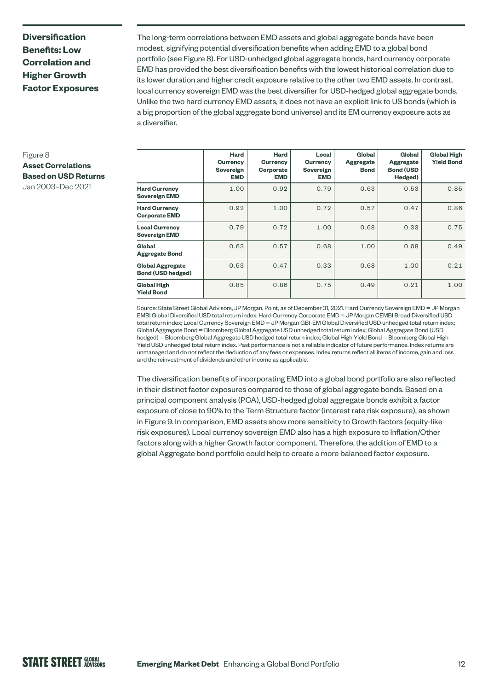# **Diversification Benefits: Low Correlation and Higher Growth Factor Exposures**

The long-term correlations between EMD assets and global aggregate bonds have been modest, signifying potential diversification benefits when adding EMD to a global bond portfolio (see Figure 8). For USD-unhedged global aggregate bonds, hard currency corporate EMD has provided the best diversification benefits with the lowest historical correlation due to its lower duration and higher credit exposure relative to the other two EMD assets. In contrast, local currency sovereign EMD was the best diversifier for USD-hedged global aggregate bonds. Unlike the two hard currency EMD assets, it does not have an explicit link to US bonds (which is a big proportion of the global aggregate bond universe) and its EM currency exposure acts as a diversifier.

| Figure 8                    |
|-----------------------------|
| <b>Asset Correlations</b>   |
| <b>Based on USD Returns</b> |
| Jan 2003-Dec 2021           |

|                                                     | Hard<br>Currency<br>Sovereign<br><b>EMD</b> | Hard<br>Currency<br>Corporate<br><b>EMD</b> | Local<br>Currency<br>Sovereign<br><b>EMD</b> | Global<br><b>Aggregate</b><br><b>Bond</b> | Global<br><b>Aggregate</b><br><b>Bond (USD</b><br>Hedged) | <b>Global High</b><br><b>Yield Bond</b> |
|-----------------------------------------------------|---------------------------------------------|---------------------------------------------|----------------------------------------------|-------------------------------------------|-----------------------------------------------------------|-----------------------------------------|
| <b>Hard Currency</b><br><b>Sovereign EMD</b>        | 1.00                                        | 0.92                                        | 0.79                                         | 0.63                                      | 0.53                                                      | 0.85                                    |
| <b>Hard Currency</b><br><b>Corporate EMD</b>        | 0.92                                        | 1.00                                        | 0.72                                         | 0.57                                      | 0.47                                                      | 0.86                                    |
| <b>Local Currency</b><br><b>Sovereign EMD</b>       | 0.79                                        | 0.72                                        | 1.00                                         | 0.68                                      | 0.33                                                      | 0.75                                    |
| Global<br><b>Aggregate Bond</b>                     | 0.63                                        | 0.57                                        | 0.68                                         | 1.00                                      | 0.68                                                      | 0.49                                    |
| <b>Global Aggregate</b><br><b>Bond (USD hedged)</b> | 0.53                                        | 0.47                                        | 0.33                                         | 0.68                                      | 1.00                                                      | 0.21                                    |
| <b>Global High</b><br><b>Yield Bond</b>             | 0.85                                        | 0.86                                        | 0.75                                         | 0.49                                      | 0.21                                                      | 1.00                                    |

Source: State Street Global Advisors, JP Morgan, Point, as of December 31, 2021. Hard Currency Sovereign EMD = JP Morgan EMBI Global Diversified USD total return index; Hard Currency Corporate EMD = JP Morgan CEMBI Broad Diversified USD total return index; Local Currency Sovereign EMD = JP Morgan GBI-EM Global Diversified USD unhedged total return index; Global Aggregate Bond = Bloomberg Global Aggregate USD unhedged total return index; Global Aggregate Bond (USD hedged) = Bloomberg Global Aggregate USD hedged total return index; Global High Yield Bond = Bloomberg Global High Yield USD unhedged total return index. Past performance is not a reliable indicator of future performance. Index returns are unmanaged and do not reflect the deduction of any fees or expenses. Index returns reflect all items of income, gain and loss and the reinvestment of dividends and other income as applicable.

The diversification benefits of incorporating EMD into a global bond portfolio are also reflected in their distinct factor exposures compared to those of global aggregate bonds. Based on a principal component analysis (PCA), USD-hedged global aggregate bonds exhibit a factor exposure of close to 90% to the Term Structure factor (interest rate risk exposure), as shown in Figure 9. In comparison, EMD assets show more sensitivity to Growth factors (equity-like risk exposures). Local currency sovereign EMD also has a high exposure to Inflation/Other factors along with a higher Growth factor component. Therefore, the addition of EMD to a global Aggregate bond portfolio could help to create a more balanced factor exposure.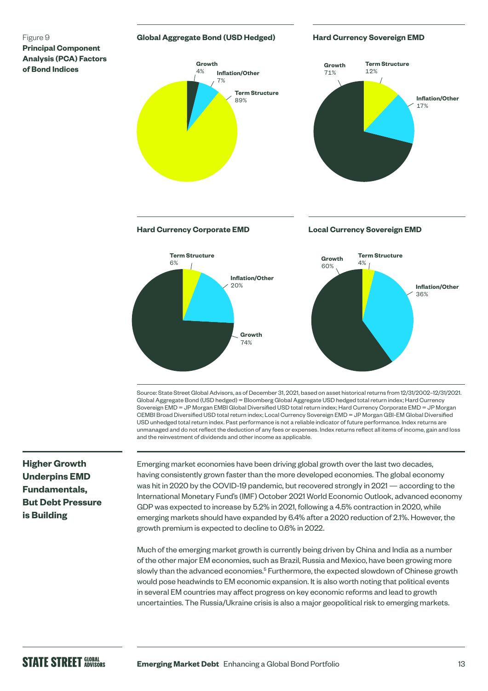#### Figure 9 **Principal Component Analysis (PCA) Factors of Bond Indices**

#### **Global Aggregate Bond (USD Hedged)**

#### **Hard Currency Sovereign EMD**



Source: State Street Global Advisors, as of December 31, 2021, based on asset historical returns from 12/31/2002–12/31/2021. Global Aggregate Bond (USD hedged) = Bloomberg Global Aggregate USD hedged total return index; Hard Currency Sovereign EMD = JP Morgan EMBI Global Diversified USD total return index; Hard Currency Corporate EMD = JP Morgan CEMBI Broad Diversified USD total return index; Local Currency Sovereign EMD = JP Morgan GBI-EM Global Diversified USD unhedged total return index. Past performance is not a reliable indicator of future performance. Index returns are unmanaged and do not reflect the deduction of any fees or expenses. Index returns reflect all items of income, gain and loss and the reinvestment of dividends and other income as applicable.

# **Higher Growth Underpins EMD Fundamentals, But Debt Pressure is Building**

Emerging market economies have been driving global growth over the last two decades, having consistently grown faster than the more developed economies. The global economy was hit in 2020 by the COVID-19 pandemic, but recovered strongly in 2021 — according to the International Monetary Fund's (IMF) October 2021 World Economic Outlook, advanced economy GDP was expected to increase by 5.2% in 2021, following a 4.5% contraction in 2020, while emerging markets should have expanded by 6.4% after a 2020 reduction of 2.1%. However, the growth premium is expected to decline to 0.6% in 2022.

Much of the emerging market growth is currently being driven by China and India as a number of the other major EM economies, such as Brazil, Russia and Mexico, have been growing more slowly than the advanced economies.<sup>5</sup> Furthermore, the expected slowdown of Chinese growth would pose headwinds to EM economic expansion. It is also worth noting that political events in several EM countries may affect progress on key economic reforms and lead to growth uncertainties. The Russia/Ukraine crisis is also a major geopolitical risk to emerging markets.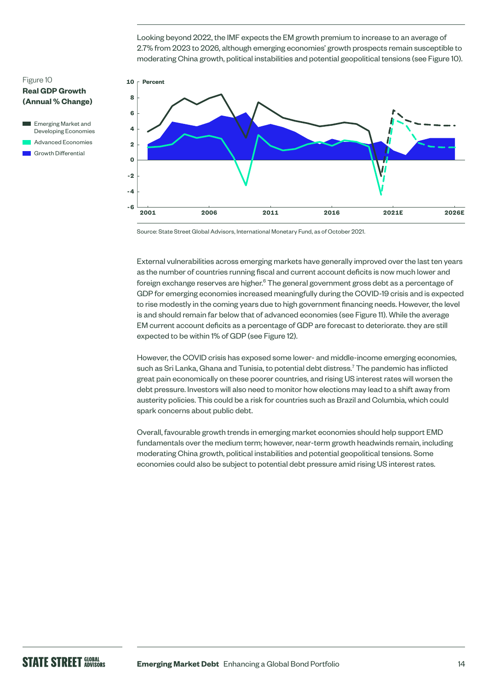Looking beyond 2022, the IMF expects the EM growth premium to increase to an average of 2.7% from 2023 to 2026, although emerging economies' growth prospects remain susceptible to moderating China growth, political instabilities and potential geopolitical tensions (see Figure 10).

#### Figure 10 **Real GDP Growth (Annual % Change)**





Source: State Street Global Advisors, International Monetary Fund, as of October 2021.

External vulnerabilities across emerging markets have generally improved over the last ten years as the number of countries running fiscal and current account deficits is now much lower and foreign exchange reserves are higher.<sup>6</sup> The general government gross debt as a percentage of GDP for emerging economies increased meaningfully during the COVID-19 crisis and is expected to rise modestly in the coming years due to high government financing needs. However, the level is and should remain far below that of advanced economies (see Figure 11). While the average EM current account deficits as a percentage of GDP are forecast to deteriorate. they are still expected to be within 1% of GDP (see Figure 12).

However, the COVID crisis has exposed some lower- and middle-income emerging economies, such as Sri Lanka, Ghana and Tunisia, to potential debt distress.<sup>7</sup> The pandemic has inflicted great pain economically on these poorer countries, and rising US interest rates will worsen the debt pressure. Investors will also need to monitor how elections may lead to a shift away from austerity policies. This could be a risk for countries such as Brazil and Columbia, which could spark concerns about public debt.

Overall, favourable growth trends in emerging market economies should help support EMD fundamentals over the medium term; however, near-term growth headwinds remain, including moderating China growth, political instabilities and potential geopolitical tensions. Some economies could also be subject to potential debt pressure amid rising US interest rates.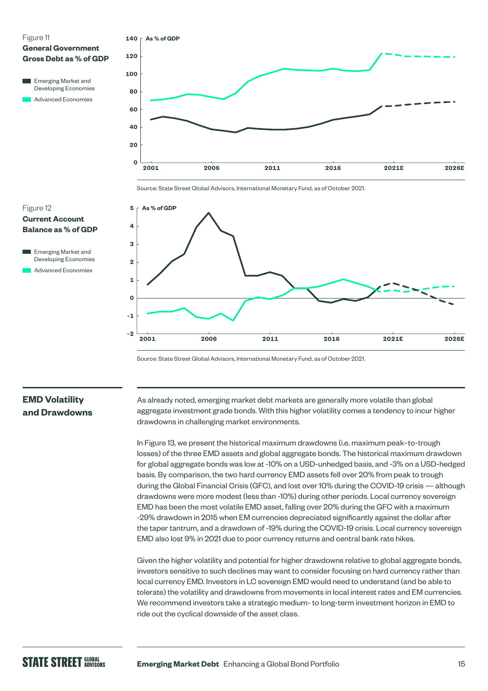



**-2**

**-1**

**1**

**0**

Source: State Street Global Advisors, International Monetary Fund, as of October 2021.

# **EMD Volatility and Drawdowns**

As already noted, emerging market debt markets are generally more volatile than global aggregate investment grade bonds. With this higher volatility comes a tendency to incur higher drawdowns in challenging market environments.

**2001 2006 2011 2016 2021E 2026E**

In Figure 13, we present the historical maximum drawdowns (i.e. maximum peak–to-trough losses) of the three EMD assets and global aggregate bonds. The historical maximum drawdown for global aggregate bonds was low at -10% on a USD-unhedged basis, and -3% on a USD-hedged basis. By comparison, the two hard currency EMD assets fell over 20% from peak to trough during the Global Financial Crisis (GFC), and lost over 10% during the COVID-19 crisis — although drawdowns were more modest (less than -10%) during other periods. Local currency sovereign EMD has been the most volatile EMD asset, falling over 20% during the GFC with a maximum -29% drawdown in 2015 when EM currencies depreciated significantly against the dollar after the taper tantrum, and a drawdown of -19% during the COVID-19 crisis. Local currency sovereign EMD also lost 9% in 2021 due to poor currency returns and central bank rate hikes.

Given the higher volatility and potential for higher drawdowns relative to global aggregate bonds, investors sensitive to such declines may want to consider focusing on hard currency rather than local currency EMD. Investors in LC sovereign EMD would need to understand (and be able to tolerate) the volatility and drawdowns from movements in local interest rates and EM currencies. We recommend investors take a strategic medium- to long-term investment horizon in EMD to ride out the cyclical downside of the asset class.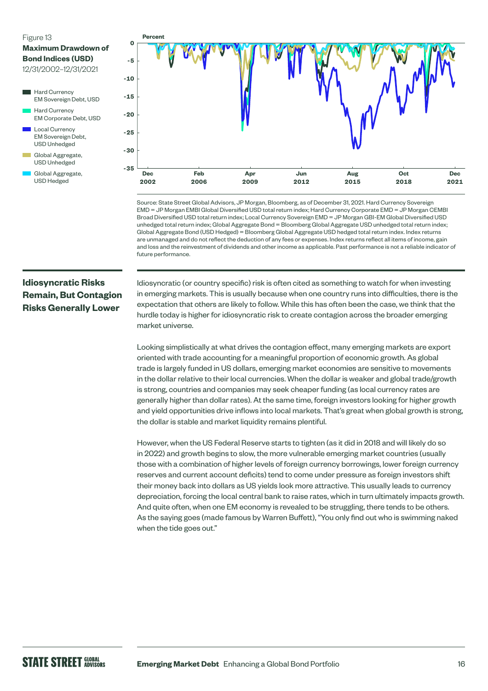#### Figure 13

#### **Maximum Drawdown of Bond Indices (USD)**

12/31/2002–12/31/2021

- Hard Currency EM Sovereign Debt, USD Hard Currency EM Corporate Debt, USD Local Currency EM Sovereign Debt, USD Unhedged
- Global Aggregate, USD Unhedged
- Global Aggregate, USD Hedged



Source: State Street Global Advisors, JP Morgan, Bloomberg, as of December 31, 2021. Hard Currency Sovereign EMD = JP Morgan EMBI Global Diversified USD total return index; Hard Currency Corporate EMD = JP Morgan CEMBI Broad Diversified USD total return index; Local Currency Sovereign EMD = JP Morgan GBI-EM Global Diversified USD unhedged total return index; Global Aggregate Bond = Bloomberg Global Aggregate USD unhedged total return index; Global Aggregate Bond (USD Hedged) = Bloomberg Global Aggregate USD hedged total return index. Index returns are unmanaged and do not reflect the deduction of any fees or expenses. Index returns reflect all items of income, gain and loss and the reinvestment of dividends and other income as applicable. Past performance is not a reliable indicator of future performance.

# **Idiosyncratic Risks Remain, But Contagion Risks Generally Lower**

Idiosyncratic (or country specific) risk is often cited as something to watch for when investing in emerging markets. This is usually because when one country runs into difficulties, there is the expectation that others are likely to follow. While this has often been the case, we think that the hurdle today is higher for idiosyncratic risk to create contagion across the broader emerging market universe.

Looking simplistically at what drives the contagion effect, many emerging markets are export oriented with trade accounting for a meaningful proportion of economic growth. As global trade is largely funded in US dollars, emerging market economies are sensitive to movements in the dollar relative to their local currencies. When the dollar is weaker and global trade/growth is strong, countries and companies may seek cheaper funding (as local currency rates are generally higher than dollar rates). At the same time, foreign investors looking for higher growth and yield opportunities drive inflows into local markets. That's great when global growth is strong, the dollar is stable and market liquidity remains plentiful.

However, when the US Federal Reserve starts to tighten (as it did in 2018 and will likely do so in 2022) and growth begins to slow, the more vulnerable emerging market countries (usually those with a combination of higher levels of foreign currency borrowings, lower foreign currency reserves and current account deficits) tend to come under pressure as foreign investors shift their money back into dollars as US yields look more attractive. This usually leads to currency depreciation, forcing the local central bank to raise rates, which in turn ultimately impacts growth. And quite often, when one EM economy is revealed to be struggling, there tends to be others. As the saying goes (made famous by Warren Buffett), "You only find out who is swimming naked when the tide goes out."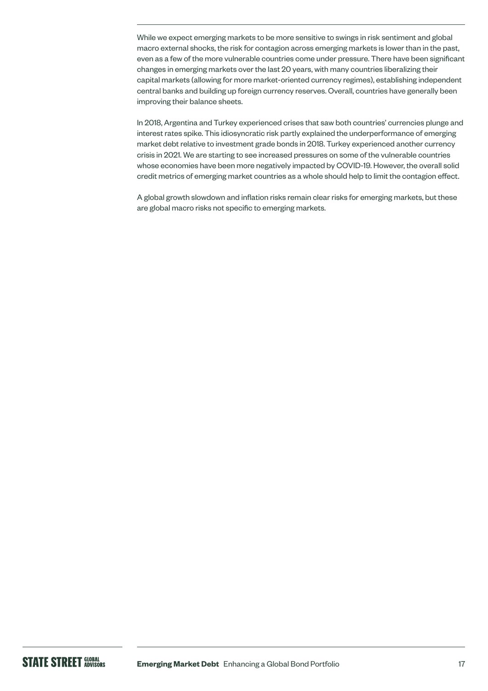While we expect emerging markets to be more sensitive to swings in risk sentiment and global macro external shocks, the risk for contagion across emerging markets is lower than in the past, even as a few of the more vulnerable countries come under pressure. There have been significant changes in emerging markets over the last 20 years, with many countries liberalizing their capital markets (allowing for more market-oriented currency regimes), establishing independent central banks and building up foreign currency reserves. Overall, countries have generally been improving their balance sheets.

In 2018, Argentina and Turkey experienced crises that saw both countries' currencies plunge and interest rates spike. This idiosyncratic risk partly explained the underperformance of emerging market debt relative to investment grade bonds in 2018. Turkey experienced another currency crisis in 2021. We are starting to see increased pressures on some of the vulnerable countries whose economies have been more negatively impacted by COVID-19. However, the overall solid credit metrics of emerging market countries as a whole should help to limit the contagion effect.

A global growth slowdown and inflation risks remain clear risks for emerging markets, but these are global macro risks not specific to emerging markets.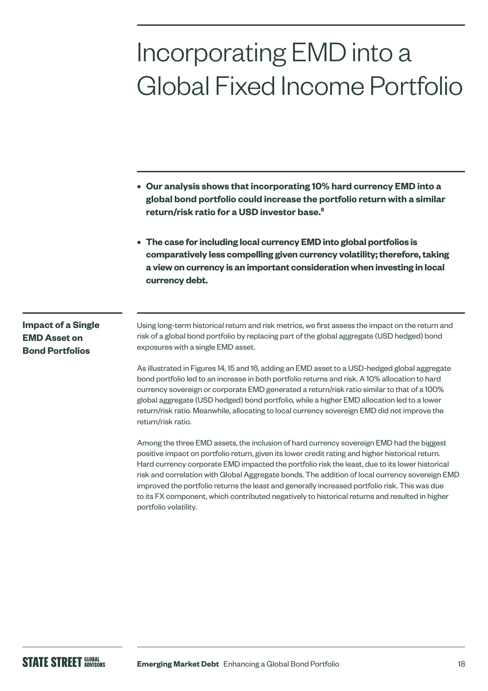# Incorporating EMD into a Global Fixed Income Portfolio

- **• Our analysis shows that incorporating 10% hard currency EMD into a global bond portfolio could increase the portfolio return with a similar return/risk ratio for a USD investor base.8**
- **• The case for including local currency EMD into global portfolios is comparatively less compelling given currency volatility; therefore, taking a view on currency is an important consideration when investing in local currency debt.**

### **Impact of a Single EMD Asset on Bond Portfolios**

Using long-term historical return and risk metrics, we first assess the impact on the return and risk of a global bond portfolio by replacing part of the global aggregate (USD hedged) bond exposures with a single EMD asset.

As illustrated in Figures 14, 15 and 16, adding an EMD asset to a USD-hedged global aggregate bond portfolio led to an increase in both portfolio returns and risk. A 10% allocation to hard currency sovereign or corporate EMD generated a return/risk ratio similar to that of a 100% global aggregate (USD hedged) bond portfolio, while a higher EMD allocation led to a lower return/risk ratio. Meanwhile, allocating to local currency sovereign EMD did not improve the return/risk ratio.

Among the three EMD assets, the inclusion of hard currency sovereign EMD had the biggest positive impact on portfolio return, given its lower credit rating and higher historical return. Hard currency corporate EMD impacted the portfolio risk the least, due to its lower historical risk and correlation with Global Aggregate bonds. The addition of local currency sovereign EMD improved the portfolio returns the least and generally increased portfolio risk. This was due to its FX component, which contributed negatively to historical returns and resulted in higher portfolio volatility.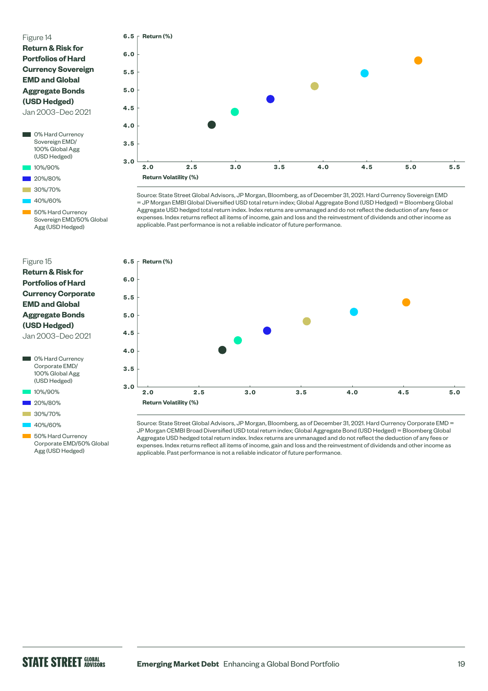#### Figure 14

| <b>Return &amp; Risk for</b> |  |  |  |
|------------------------------|--|--|--|
| <b>Portfolios of Hard</b>    |  |  |  |
| <b>Currency Sovereign</b>    |  |  |  |
| <b>EMD and Global</b>        |  |  |  |
| <b>Aggregate Bonds</b>       |  |  |  |
| (USD Hedged)                 |  |  |  |
| $\overline{\phantom{a}}$     |  |  |  |

Jan 2003–Dec 2021

- **0% Hard Currency** Sovereign EMD/ 100% Global Agg (USD Hedged)
- 10%/90%
- 20%/80%
- 30%/70%
- 40%/60%

 50% Hard Currency Sovereign EMD/50% Global Agg (USD Hedged)

#### Figure 15

| <b>Return &amp; Risk for</b> |  |  |
|------------------------------|--|--|
| <b>Portfolios of Hard</b>    |  |  |
| <b>Currency Corporate</b>    |  |  |
| <b>EMD and Global</b>        |  |  |
| <b>Aggregate Bonds</b>       |  |  |
| (USD Hedged)                 |  |  |
| Jan 2003-Dec 2021            |  |  |



- 10%/90%
- 20%/80%
- 30%/70%
- 40%/60%

50% Hard Currency Corporate EMD/50% Global Agg (USD Hedged)



Source: State Street Global Advisors, JP Morgan, Bloomberg, as of December 31, 2021. Hard Currency Sovereign EMD = JP Morgan EMBI Global Diversified USD total return index; Global Aggregate Bond (USD Hedged) = Bloomberg Global Aggregate USD hedged total return index. Index returns are unmanaged and do not reflect the deduction of any fees or expenses. Index returns reflect all items of income, gain and loss and the reinvestment of dividends and other income as applicable. Past performance is not a reliable indicator of future performance.



Source: State Street Global Advisors, JP Morgan, Bloomberg, as of December 31, 2021. Hard Currency Corporate EMD = JP Morgan CEMBI Broad Diversified USD total return index; Global Aggregate Bond (USD Hedged) = Bloomberg Global Aggregate USD hedged total return index. Index returns are unmanaged and do not reflect the deduction of any fees or expenses. Index returns reflect all items of income, gain and loss and the reinvestment of dividends and other income as applicable. Past performance is not a reliable indicator of future performance.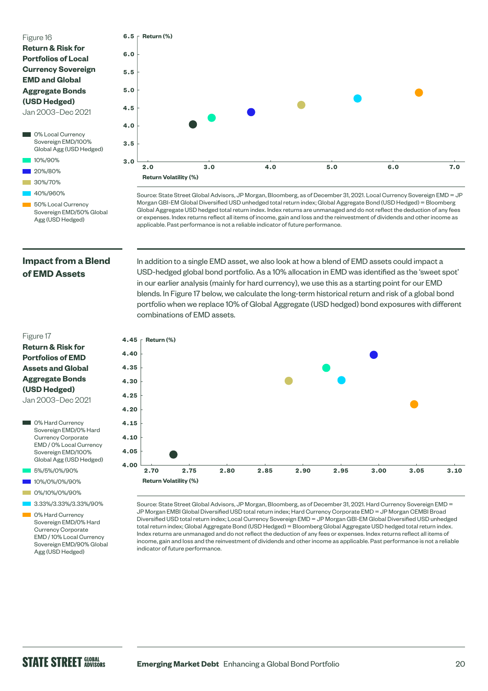#### Figure 16

| <b>Return &amp; Risk for</b> |
|------------------------------|
| <b>Portfolios of Local</b>   |
| <b>Currency Sovereign</b>    |
| <b>EMD and Global</b>        |
| <b>Aggregate Bonds</b>       |
| (USD Hedged)                 |
| Jan 2003-Dec 2021            |
|                              |

- **0%** Local Currency Sovereign EMD/100% Global Agg (USD Hedged)
- 10%/90%
- 20%/80%
- 30%/70%
- 40%/960%
- 50% Local Currency Sovereign EMD/50% Global Agg (USD Hedged)



Source: State Street Global Advisors, JP Morgan, Bloomberg, as of December 31, 2021. Local Currency Sovereign EMD = JP Morgan GBI-EM Global Diversified USD unhedged total return index; Global Aggregate Bond (USD Hedged) = Bloomberg Global Aggregate USD hedged total return index. Index returns are unmanaged and do not reflect the deduction of any fees or expenses. Index returns reflect all items of income, gain and loss and the reinvestment of dividends and other income as applicable. Past performance is not a reliable indicator of future performance.

### **Impact from a Blend of EMD Assets**

USD-hedged global bond portfolio. As a 10% allocation in EMD was identified as the 'sweet spot' in our earlier analysis (mainly for hard currency), we use this as a starting point for our EMD blends. In Figure 17 below, we calculate the long-term historical return and risk of a global bond portfolio when we replace 10% of Global Aggregate (USD hedged) bond exposures with different combinations of EMD assets.

In addition to a single EMD asset, we also look at how a blend of EMD assets could impact a



Source: State Street Global Advisors, JP Morgan, Bloomberg, as of December 31, 2021. Hard Currency Sovereign EMD = JP Morgan EMBI Global Diversified USD total return index; Hard Currency Corporate EMD = JP Morgan CEMBI Broad Diversified USD total return index; Local Currency Sovereign EMD = JP Morgan GBI-EM Global Diversified USD unhedged total return index; Global Aggregate Bond (USD Hedged) = Bloomberg Global Aggregate USD hedged total return index. Index returns are unmanaged and do not reflect the deduction of any fees or expenses. Index returns reflect all items of income, gain and loss and the reinvestment of dividends and other income as applicable. Past performance is not a reliable indicator of future performance.

#### Figure 17

#### **Return & Risk for Portfolios of EMD Assets and Global Aggregate Bonds (USD Hedged)**

Jan 2003–Dec 2021

- **O**% Hard Currency Sovereign EMD/0% Hard Currency Corporate EMD / 0% Local Currency Sovereign EMD/100% Global Agg (USD Hedged)
- 5%/5%/0%/90%
- 10%/0%/0%/90%
- 0%/10%/0%/90%
- 3.33%/3.33%/3.33%/90%
- 0% Hard Currency Sovereign EMD/0% Hard Currency Corporate EMD / 10% Local Currency Sovereign EMD/90% Global Agg (USD Hedged)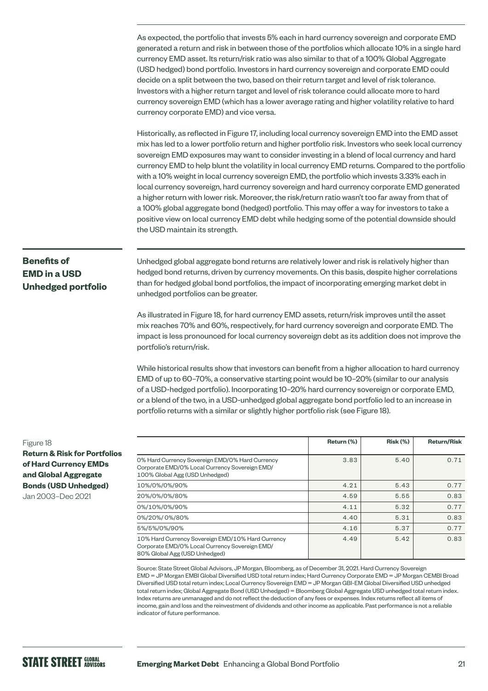As expected, the portfolio that invests 5% each in hard currency sovereign and corporate EMD generated a return and risk in between those of the portfolios which allocate 10% in a single hard currency EMD asset. Its return/risk ratio was also similar to that of a 100% Global Aggregate (USD hedged) bond portfolio. Investors in hard currency sovereign and corporate EMD could decide on a split between the two, based on their return target and level of risk tolerance. Investors with a higher return target and level of risk tolerance could allocate more to hard currency sovereign EMD (which has a lower average rating and higher volatility relative to hard currency corporate EMD) and vice versa.

Historically, as reflected in Figure 17, including local currency sovereign EMD into the EMD asset mix has led to a lower portfolio return and higher portfolio risk. Investors who seek local currency sovereign EMD exposures may want to consider investing in a blend of local currency and hard currency EMD to help blunt the volatility in local currency EMD returns. Compared to the portfolio with a 10% weight in local currency sovereign EMD, the portfolio which invests 3.33% each in local currency sovereign, hard currency sovereign and hard currency corporate EMD generated a higher return with lower risk. Moreover, the risk/return ratio wasn't too far away from that of a 100% global aggregate bond (hedged) portfolio. This may offer a way for investors to take a positive view on local currency EMD debt while hedging some of the potential downside should the USD maintain its strength.

# **Benefits of EMD in a USD Unhedged portfolio**

Unhedged global aggregate bond returns are relatively lower and risk is relatively higher than hedged bond returns, driven by currency movements. On this basis, despite higher correlations than for hedged global bond portfolios, the impact of incorporating emerging market debt in unhedged portfolios can be greater.

As illustrated in Figure 18, for hard currency EMD assets, return/risk improves until the asset mix reaches 70% and 60%, respectively, for hard currency sovereign and corporate EMD. The impact is less pronounced for local currency sovereign debt as its addition does not improve the portfolio's return/risk.

While historical results show that investors can benefit from a higher allocation to hard currency EMD of up to 60–70%, a conservative starting point would be 10–20% (similar to our analysis of a USD-hedged portfolio). Incorporating 10–20% hard currency sovereign or corporate EMD, or a blend of the two, in a USD-unhedged global aggregate bond portfolio led to an increase in portfolio returns with a similar or slightly higher portfolio risk (see Figure 18).

#### Figure 18

**Return & Risk for Portfolios of Hard Currency EMDs and Global Aggregate Bonds (USD Unhedged)**  Jan 2003–Dec 2021

|                                                                                                                                      | Return (%) | <b>Risk (%)</b> | <b>Return/Risk</b> |
|--------------------------------------------------------------------------------------------------------------------------------------|------------|-----------------|--------------------|
| 0% Hard Currency Sovereign EMD/0% Hard Currency<br>Corporate EMD/0% Local Currency Sovereign EMD/<br>100% Global Agg (USD Unhedged)  | 3.83       | 5.40            | 0.71               |
| 10%/0%/0%/90%                                                                                                                        | 4.21       | 5.43            | 0.77               |
| 20%/0%/0%/80%                                                                                                                        | 4.59       | 5.55            | 0.83               |
| 0%/10%/0%/90%                                                                                                                        | 4.11       | 5.32            | 0.77               |
| 0%/20%/0%/80%                                                                                                                        | 4.40       | 5.31            | 0.83               |
| 5%/5%/0%/90%                                                                                                                         | 4.16       | 5.37            | 0.77               |
| 10% Hard Currency Sovereign EMD/10% Hard Currency<br>Corporate EMD/0% Local Currency Sovereign EMD/<br>80% Global Agg (USD Unhedged) | 4.49       | 5.42            | 0.83               |

Source: State Street Global Advisors, JP Morgan, Bloomberg, as of December 31, 2021. Hard Currency Sovereign EMD = JP Morgan EMBI Global Diversified USD total return index; Hard Currency Corporate EMD = JP Morgan CEMBI Broad Diversified USD total return index; Local Currency Sovereign EMD = JP Morgan GBI-EM Global Diversified USD unhedged total return index; Global Aggregate Bond (USD Unhedged) = Bloomberg Global Aggregate USD unhedged total return index. Index returns are unmanaged and do not reflect the deduction of any fees or expenses. Index returns reflect all items of income, gain and loss and the reinvestment of dividends and other income as applicable. Past performance is not a reliable indicator of future performance.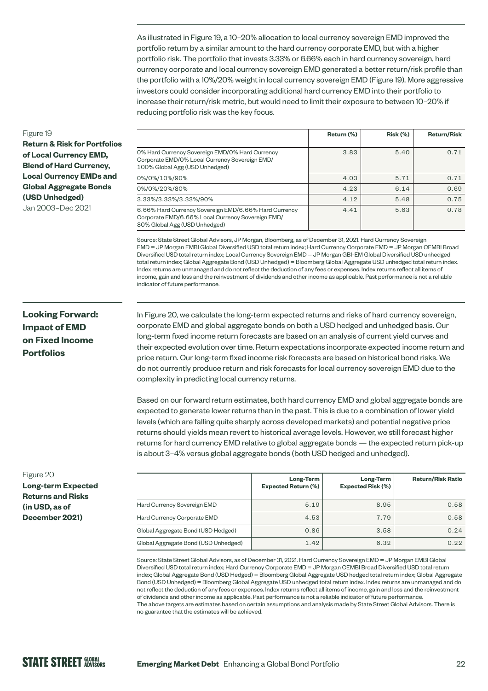As illustrated in Figure 19, a 10–20% allocation to local currency sovereign EMD improved the portfolio return by a similar amount to the hard currency corporate EMD, but with a higher portfolio risk. The portfolio that invests 3.33% or 6.66% each in hard currency sovereign, hard currency corporate and local currency sovereign EMD generated a better return/risk profile than the portfolio with a 10%/20% weight in local currency sovereign EMD (Figure 19). More aggressive investors could consider incorporating additional hard currency EMD into their portfolio to increase their return/risk metric, but would need to limit their exposure to between 10–20% if reducing portfolio risk was the key focus.

#### Figure 19

**Return & Risk for Portfolios of Local Currency EMD, Blend of Hard Currency, Local Currency EMDs and Global Aggregate Bonds (USD Unhedged)**  Jan 2003–Dec 2021

**Return (%) Risk (%) Return/Risk** 0% Hard Currency Sovereign EMD/0% Hard Currency Corporate EMD/0% Local Currency Sovereign EMD/ 100% Global Agg (USD Unhedged) 3.83 5.40 0.71 0%/0%/10%/90% 4.03 5.71 0.71 0%/0%/20%/80% 4.23 6.14 0.69  $3.33\%/3.33\%/90\%$  0.75  $\vert$  4.12  $\vert$  5.48 0.75 6.66% Hard Currency Sovereign EMD/6.66% Hard Currency Corporate EMD/6.66% Local Currency Sovereign EMD/ 80% Global Agg (USD Unhedged) 4.41 5.63 0.78

Source: State Street Global Advisors, JP Morgan, Bloomberg, as of December 31, 2021. Hard Currency Sovereign EMD = JP Morgan EMBI Global Diversified USD total return index; Hard Currency Corporate EMD = JP Morgan CEMBI Broad Diversified USD total return index; Local Currency Sovereign EMD = JP Morgan GBI-EM Global Diversified USD unhedged total return index; Global Aggregate Bond (USD Unhedged) = Bloomberg Global Aggregate USD unhedged total return index. Index returns are unmanaged and do not reflect the deduction of any fees or expenses. Index returns reflect all items of income, gain and loss and the reinvestment of dividends and other income as applicable. Past performance is not a reliable indicator of future performance.

### **Looking Forward: Impact of EMD on Fixed Income Portfolios**

In Figure 20, we calculate the long-term expected returns and risks of hard currency sovereign, corporate EMD and global aggregate bonds on both a USD hedged and unhedged basis. Our long-term fixed income return forecasts are based on an analysis of current yield curves and their expected evolution over time. Return expectations incorporate expected income return and price return. Our long-term fixed income risk forecasts are based on historical bond risks. We do not currently produce return and risk forecasts for local currency sovereign EMD due to the complexity in predicting local currency returns.

Based on our forward return estimates, both hard currency EMD and global aggregate bonds are expected to generate lower returns than in the past. This is due to a combination of lower yield levels (which are falling quite sharply across developed markets) and potential negative price returns should yields mean revert to historical average levels. However, we still forecast higher returns for hard currency EMD relative to global aggregate bonds — the expected return pick-up is about 3–4% versus global aggregate bonds (both USD hedged and unhedged).

|                                      | Long-Term<br><b>Expected Return (%)</b> | Long-Term<br><b>Expected Risk (%)</b> | <b>Return/Risk Ratio</b> |
|--------------------------------------|-----------------------------------------|---------------------------------------|--------------------------|
| Hard Currency Sovereign EMD          | 5.19                                    | 8.95                                  | 0.58                     |
| Hard Currency Corporate EMD          | 4.53                                    | 7.79                                  | 0.58                     |
| Global Aggregate Bond (USD Hedged)   | 0.86                                    | 3.58                                  | 0.24                     |
| Global Aggregate Bond (USD Unhedged) | 1.42                                    | 6.32                                  | 0.22                     |

Source: State Street Global Advisors, as of December 31, 2021. Hard Currency Sovereign EMD = JP Morgan EMBI Global Diversified USD total return index; Hard Currency Corporate EMD = JP Morgan CEMBI Broad Diversified USD total return index; Global Aggregate Bond (USD Hedged) = Bloomberg Global Aggregate USD hedged total return index; Global Aggregate Bond (USD Unhedged) = Bloomberg Global Aggregate USD unhedged total return index. Index returns are unmanaged and do not reflect the deduction of any fees or expenses. Index returns reflect all items of income, gain and loss and the reinvestment of dividends and other income as applicable. Past performance is not a reliable indicator of future performance. The above targets are estimates based on certain assumptions and analysis made by State Street Global Advisors. There is no guarantee that the estimates will be achieved.

#### Figure 20

**Long-term Expected Returns and Risks (in USD, as of December 2021)**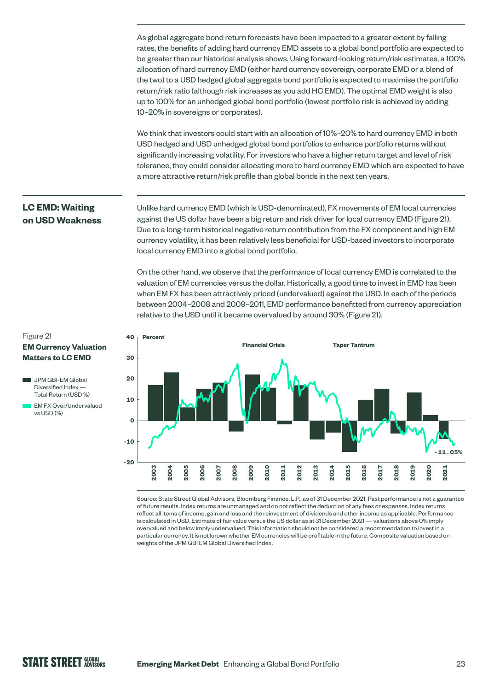As global aggregate bond return forecasts have been impacted to a greater extent by falling rates, the benefits of adding hard currency EMD assets to a global bond portfolio are expected to be greater than our historical analysis shows. Using forward-looking return/risk estimates, a 100% allocation of hard currency EMD (either hard currency sovereign, corporate EMD or a blend of the two) to a USD hedged global aggregate bond portfolio is expected to maximise the portfolio return/risk ratio (although risk increases as you add HC EMD). The optimal EMD weight is also up to 100% for an unhedged global bond portfolio (lowest portfolio risk is achieved by adding 10–20% in sovereigns or corporates).

We think that investors could start with an allocation of 10%–20% to hard currency EMD in both USD hedged and USD unhedged global bond portfolios to enhance portfolio returns without significantly increasing volatility. For investors who have a higher return target and level of risk tolerance, they could consider allocating more to hard currency EMD which are expected to have a more attractive return/risk profile than global bonds in the next ten years.

Unlike hard currency EMD (which is USD-denominated), FX movements of EM local currencies against the US dollar have been a big return and risk driver for local currency EMD (Figure 21). Due to a long-term historical negative return contribution from the FX component and high EM currency volatility, it has been relatively less beneficial for USD-based investors to incorporate local currency EMD into a global bond portfolio.

On the other hand, we observe that the performance of local currency EMD is correlated to the valuation of EM currencies versus the dollar. Historically, a good time to invest in EMD has been when EM FX has been attractively priced (undervalued) against the USD. In each of the periods between 2004–2008 and 2009–2011, EMD performance benefitted from currency appreciation relative to the USD until it became overvalued by around 30% (Figure 21).



Source: State Street Global Advisors, Bloomberg Finance, L.P., as of 31 December 2021. Past performance is not a guarantee of future results. Index returns are unmanaged and do not reflect the deduction of any fees or expenses. Index returns reflect all items of income, gain and loss and the reinvestment of dividends and other income as applicable. Performance is calculated in USD. Estimate of fair value versus the US dollar as at 31 December 2021 — valuations above 0% imply overvalued and below imply undervalued. This information should not be considered a recommendation to invest in a particular currency. It is not known whether EM currencies will be profitable in the future. Composite valuation based on weights of the JPM GBI EM Global Diversified Index.

# **LC EMD: Waiting on USD Weakness**

Figure 21 **EM Currency Valuation Matters to LC EMD** 

- JPM GBI-EM Global Diversified Index — Total Return (USD %)
- EM FX Over/Undervalued vs USD (%)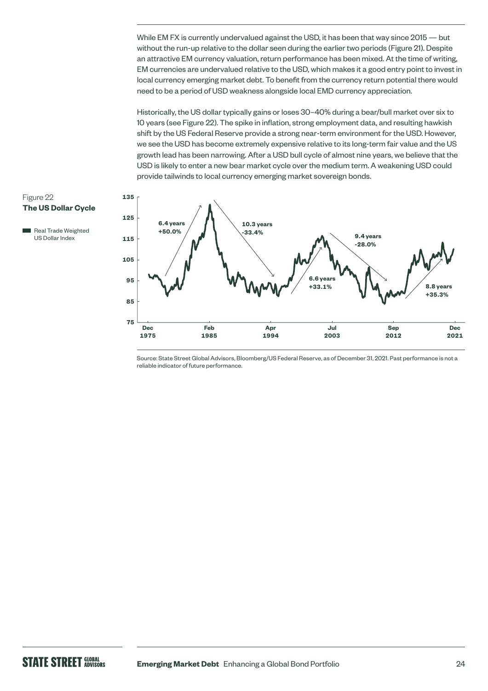While EM FX is currently undervalued against the USD, it has been that way since 2015 — but without the run-up relative to the dollar seen during the earlier two periods (Figure 21). Despite an attractive EM currency valuation, return performance has been mixed. At the time of writing, EM currencies are undervalued relative to the USD, which makes it a good entry point to invest in local currency emerging market debt. To benefit from the currency return potential there would need to be a period of USD weakness alongside local EMD currency appreciation.

Historically, the US dollar typically gains or loses 30–40% during a bear/bull market over six to 10 years (see Figure 22). The spike in inflation, strong employment data, and resulting hawkish shift by the US Federal Reserve provide a strong near-term environment for the USD. However, we see the USD has become extremely expensive relative to its long-term fair value and the US growth lead has been narrowing. After a USD bull cycle of almost nine years, we believe that the USD is likely to enter a new bear market cycle over the medium term. A weakening USD could provide tailwinds to local currency emerging market sovereign bonds.

#### Figure 22 **The US Dollar Cycle**





Source: State Street Global Advisors, Bloomberg/US Federal Reserve, as of December 31, 2021. Past performance is not a reliable indicator of future performance.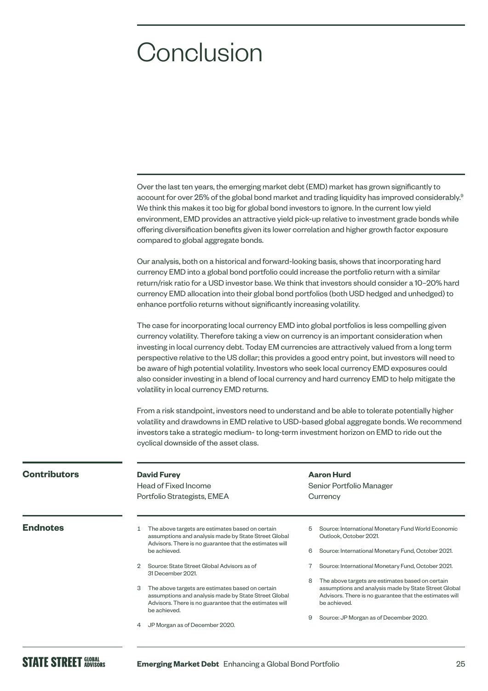# **Conclusion**

| Over the last ten years, the emerging market debt (EMD) market has grown significantly to                    |
|--------------------------------------------------------------------------------------------------------------|
| account for over 25% of the global bond market and trading liquidity has improved considerably. <sup>9</sup> |
| We think this makes it too big for global bond investors to ignore. In the current low yield                 |
| environment, EMD provides an attractive yield pick-up relative to investment grade bonds while               |
| offering diversification benefits given its lower correlation and higher growth factor exposure              |
| compared to global aggregate bonds.                                                                          |

Our analysis, both on a historical and forward-looking basis, shows that incorporating hard currency EMD into a global bond portfolio could increase the portfolio return with a similar return/risk ratio for a USD investor base. We think that investors should consider a 10–20% hard currency EMD allocation into their global bond portfolios (both USD hedged and unhedged) to enhance portfolio returns without significantly increasing volatility.

The case for incorporating local currency EMD into global portfolios is less compelling given currency volatility. Therefore taking a view on currency is an important consideration when investing in local currency debt. Today EM currencies are attractively valued from a long term perspective relative to the US dollar; this provides a good entry point, but investors will need to be aware of high potential volatility. Investors who seek local currency EMD exposures could also consider investing in a blend of local currency and hard currency EMD to help mitigate the volatility in local currency EMD returns.

From a risk standpoint, investors need to understand and be able to tolerate potentially higher volatility and drawdowns in EMD relative to USD-based global aggregate bonds. We recommend investors take a strategic medium- to long-term investment horizon on EMD to ride out the cyclical downside of the asset class.

| <b>Contributors</b> | <b>David Furey</b><br>Head of Fixed Income<br>Portfolio Strategists, EMEA                                                                                                                | <b>Aaron Hurd</b><br>Senior Portfolio Manager<br>Currency                                                                                                                                |  |  |
|---------------------|------------------------------------------------------------------------------------------------------------------------------------------------------------------------------------------|------------------------------------------------------------------------------------------------------------------------------------------------------------------------------------------|--|--|
| <b>Endnotes</b>     | The above targets are estimates based on certain<br>assumptions and analysis made by State Street Global<br>Advisors. There is no guarantee that the estimates will                      | Source: International Monetary Fund World Economic<br>5<br>Outlook, October 2021.                                                                                                        |  |  |
|                     | be achieved.                                                                                                                                                                             | Source: International Monetary Fund, October 2021.<br>6                                                                                                                                  |  |  |
|                     | Source: State Street Global Advisors as of<br>2<br>31 December 2021.                                                                                                                     | Source: International Monetary Fund, October 2021.                                                                                                                                       |  |  |
|                     | 3<br>The above targets are estimates based on certain<br>assumptions and analysis made by State Street Global<br>Advisors. There is no guarantee that the estimates will<br>be achieved. | The above targets are estimates based on certain<br>8<br>assumptions and analysis made by State Street Global<br>Advisors. There is no guarantee that the estimates will<br>be achieved. |  |  |
|                     | JP Morgan as of December 2020.<br>4                                                                                                                                                      | Source: JP Morgan as of December 2020.<br>9                                                                                                                                              |  |  |
|                     |                                                                                                                                                                                          |                                                                                                                                                                                          |  |  |